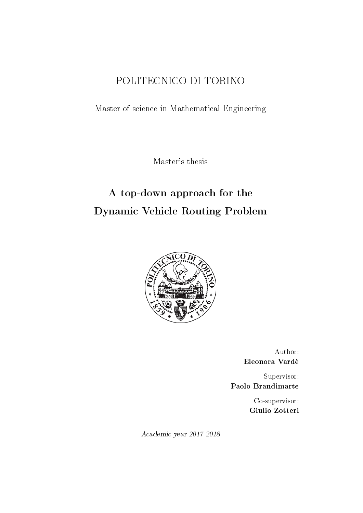## POLITECNICO DI TORINO

Master of science in Mathematical Engineering

Master's thesis

# A top-down approach for the Dynamic Vehicle Routing Problem



Author: Eleonora Vardè

Supervisor: Paolo Brandimarte

> Co-supervisor: Giulio Zotteri

Academic year 2017-2018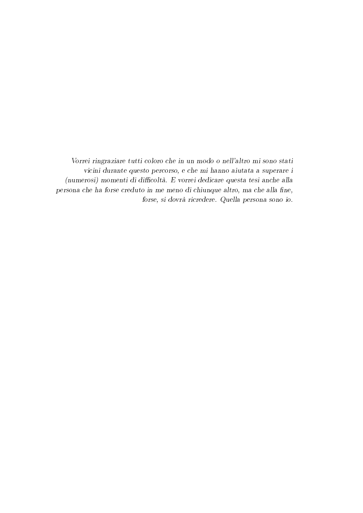Vorrei ringraziare tutti coloro che in un modo o nell'altro mi sono stati vicini durante questo percorso, e che mi hanno aiutata a superare i (numerosi) momenti di difficoltà. E vorrei dedicare questa tesi anche alla persona che ha forse creduto in me meno di chiunque altro, ma che alla fine, forse, si dovrà ricredere. Quella persona sono io.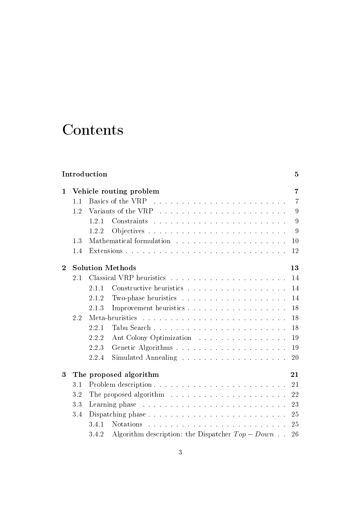# Contents

| Introduction<br>$\overline{5}$ |     |                                                                                                                                                  |                |  |  |  |  |  |
|--------------------------------|-----|--------------------------------------------------------------------------------------------------------------------------------------------------|----------------|--|--|--|--|--|
| 1                              |     | Vehicle routing problem                                                                                                                          | 7              |  |  |  |  |  |
|                                | 1.1 | Basics of the VRP<br>.<br>The contract of the contract of the contract of the contract of the contract of the contract of the contract of        | $\overline{7}$ |  |  |  |  |  |
|                                | 1.2 |                                                                                                                                                  | 9              |  |  |  |  |  |
|                                |     | .<br>The contract of the contract of the contract of the contract of the contract of the contract of the contract of<br>1.2.1<br>Constraints     | 9              |  |  |  |  |  |
|                                |     | 1.2.2                                                                                                                                            | 9              |  |  |  |  |  |
|                                | 1.3 |                                                                                                                                                  | 10             |  |  |  |  |  |
|                                | 1.4 |                                                                                                                                                  | 12             |  |  |  |  |  |
| $\mathbf{2}$                   |     | <b>Solution Methods</b>                                                                                                                          | 13             |  |  |  |  |  |
|                                | 2.1 |                                                                                                                                                  | 14             |  |  |  |  |  |
|                                |     | 2.1.1                                                                                                                                            | 14             |  |  |  |  |  |
|                                |     | 2.1.2                                                                                                                                            | 14             |  |  |  |  |  |
|                                |     | 2.1.3                                                                                                                                            | 18             |  |  |  |  |  |
|                                | 2.2 | Meta-heuristics                                                                                                                                  | 18             |  |  |  |  |  |
|                                |     | 2.2.1                                                                                                                                            | 18             |  |  |  |  |  |
|                                |     | 2.2.2<br>Ant Colony Optimization                                                                                                                 | 19             |  |  |  |  |  |
|                                |     | 2.2.3                                                                                                                                            | 19             |  |  |  |  |  |
|                                |     | 2.2.4                                                                                                                                            | 20             |  |  |  |  |  |
| 3                              |     | The proposed algorithm                                                                                                                           | 21             |  |  |  |  |  |
|                                | 3.1 |                                                                                                                                                  | 21             |  |  |  |  |  |
|                                | 3.2 | The proposed algorithm $\ldots \ldots \ldots \ldots \ldots \ldots \ldots$                                                                        | 22             |  |  |  |  |  |
|                                | 3.3 |                                                                                                                                                  | 23             |  |  |  |  |  |
|                                | 3.4 |                                                                                                                                                  | 25             |  |  |  |  |  |
|                                |     | 3.4.1<br><b>Notations</b><br>.<br>In the company of the company of the company of the company of the company of the company of the company of th | 25             |  |  |  |  |  |
|                                |     | Algorithm description: the Dispatcher $Top - Down$<br>3.4.2                                                                                      | 26             |  |  |  |  |  |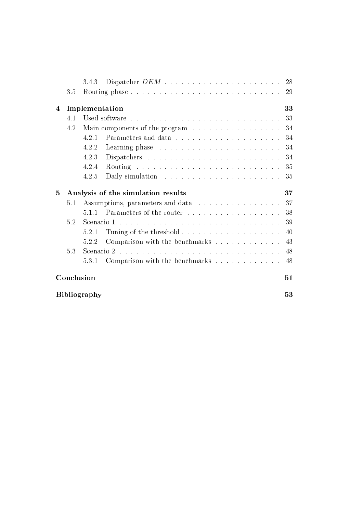|              |     | 3.4.3                                                                        | 28 |
|--------------|-----|------------------------------------------------------------------------------|----|
|              | 3.5 |                                                                              | 29 |
| 4            |     | Implementation                                                               | 33 |
|              | 4.1 |                                                                              | 33 |
|              | 4.2 | Main components of the program                                               | 34 |
|              |     | 4.2.1                                                                        | 34 |
|              |     | 4.2.2                                                                        | 34 |
|              |     | 4.2.3                                                                        | 34 |
|              |     | 4.2.4                                                                        | 35 |
|              |     | 4.2.5<br>Daily simulation $\ldots \ldots \ldots \ldots \ldots \ldots \ldots$ | 35 |
|              |     |                                                                              |    |
| $\mathbf{5}$ |     | Analysis of the simulation results                                           | 37 |
|              | 5.1 | Assumptions, parameters and data                                             | 37 |
|              |     | Parameters of the router<br>5.1.1                                            | 38 |
|              | 5.2 |                                                                              | 39 |
|              |     | 5.2.1                                                                        | 40 |
|              |     | Comparison with the benchmarks<br>5.2.2                                      | 43 |
|              | 5.3 |                                                                              | 48 |
|              |     | Comparison with the benchmarks $\ldots \ldots \ldots \ldots$<br>5.3.1        | 48 |
|              |     | Conclusion                                                                   | 51 |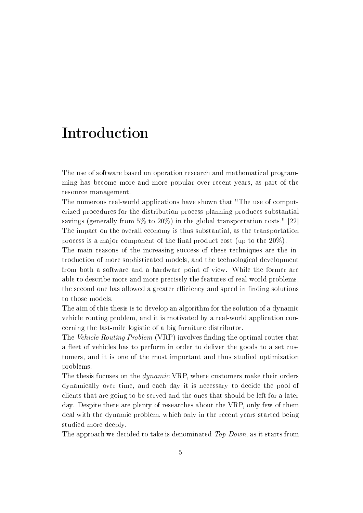# Introduction

The use of software based on operation research and mathematical programming has become more and more popular over recent years, as part of the resource management.

The numerous real-world applications have shown that "The use of computerized procedures for the distribution process planning produces substantial savings (generally from 5% to 20%) in the global transportation costs." [22] The impact on the overall economy is thus substantial, as the transportation process is a major component of the final product cost (up to the  $20\%$ ).

The main reasons of the increasing success of these techniques are the introduction of more sophisticated models, and the technological development from both a software and a hardware point of view. While the former are able to describe more and more precisely the features of real-world problems, the second one has allowed a greater efficiency and speed in finding solutions to those models.

The aim of this thesis is to develop an algorithm for the solution of a dynamic vehicle routing problem, and it is motivated by a real-world application concerning the last-mile logistic of a big furniture distributor.

The Vehicle Routing Problem (VRP) involves finding the optimal routes that a fleet of vehicles has to perform in order to deliver the goods to a set customers, and it is one of the most important and thus studied optimization problems.

The thesis focuses on the *dynamic* VRP, where customers make their orders dynamically over time, and each day it is necessary to decide the pool of clients that are going to be served and the ones that should be left for a later day. Despite there are plenty of researches about the VRP, only few of them deal with the dynamic problem, which only in the recent years started being studied more deeply.

The approach we decided to take is denominated  $Top-Down$ , as it starts from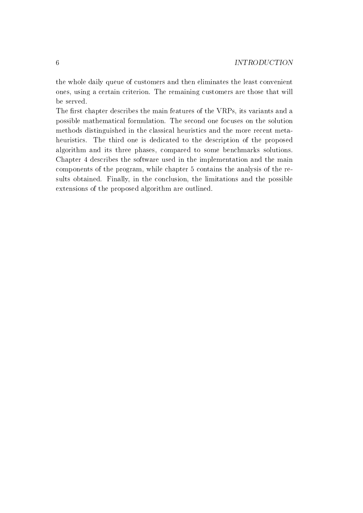the whole daily queue of customers and then eliminates the least convenient ones, using a certain criterion. The remaining customers are those that will be served.

The first chapter describes the main features of the VRPs, its variants and a possible mathematical formulation. The second one focuses on the solution methods distinguished in the classical heuristics and the more recent metaheuristics. The third one is dedicated to the description of the proposed algorithm and its three phases, compared to some benchmarks solutions. Chapter 4 describes the software used in the implementation and the main components of the program, while chapter 5 contains the analysis of the results obtained. Finally, in the conclusion, the limitations and the possible extensions of the proposed algorithm are outlined.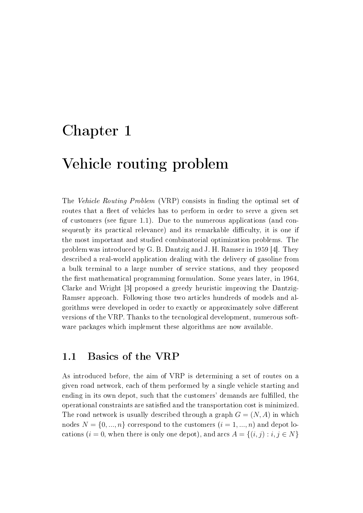# Chapter 1

# Vehicle routing problem

The Vehicle Routing Problem (VRP) consists in finding the optimal set of routes that a fleet of vehicles has to perform in order to serve a given set of customers (see figure 1.1). Due to the numerous applications (and consequently its practical relevance) and its remarkable difficulty, it is one if the most important and studied combinatorial optimization problems. The problem was introduced by G. B. Dantzig and J. H. Ramser in 1959 [4]. They described a real-world application dealing with the delivery of gasoline from a bulk terminal to a large number of service stations, and they proposed the first mathematical programming formulation. Some years later, in  $1964$ , Clarke and Wright [3] proposed a greedy heuristic improving the Dantzig-Ramser approach. Following those two articles hundreds of models and algorithms were developed in order to exactly or approximately solve different versions of the VRP. Thanks to the tecnological development, numerous software packages which implement these algorithms are now available.

## 1.1 Basics of the VRP

As introduced before, the aim of VRP is determining a set of routes on a given road network, each of them performed by a single vehicle starting and ending in its own depot, such that the customers' demands are fullled, the operational constraints are satised and the transportation cost is minimized. The road network is usually described through a graph  $G = (N, A)$  in which nodes  $N = \{0, ..., n\}$  correspond to the customers  $(i = 1, ..., n)$  and depot locations ( $i = 0$ , when there is only one depot), and arcs  $A = \{(i, j) : i, j \in N\}$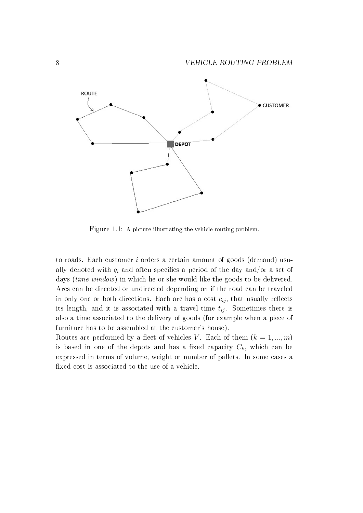

Figure 1.1: A picture illustrating the vehicle routing problem.

to roads. Each customer i orders a certain amount of goods (demand) usually denoted with  $q_i$  and often specifies a period of the day and/or a set of days *(time window)* in which he or she would like the goods to be delivered. Arcs can be directed or undirected depending on if the road can be traveled in only one or both directions. Each arc has a cost  $c_{ij}$ , that usually reflects its length, and it is associated with a travel time  $t_{ij}$ . Sometimes there is also a time associated to the delivery of goods (for example when a piece of furniture has to be assembled at the customer's house).

Routes are performed by a fleet of vehicles V. Each of them  $(k = 1, ..., m)$ is based in one of the depots and has a fixed capacity  $C_k$ , which can be expressed in terms of volume, weight or number of pallets. In some cases a xed cost is associated to the use of a vehicle.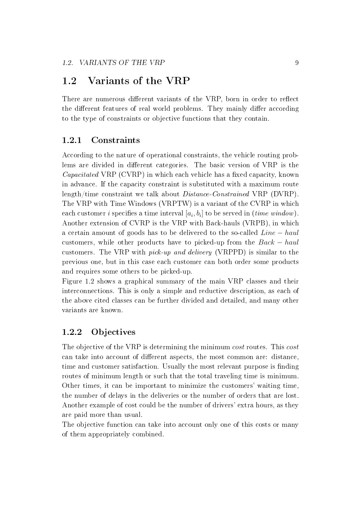## 1.2 Variants of the VRP

There are numerous different variants of the VRP, born in order to reflect the different features of real world problems. They mainly differ according to the type of constraints or objective functions that they contain.

### 1.2.1 Constraints

According to the nature of operational constraints, the vehicle routing problems are divided in different categories. The basic version of VRP is the  $Capacitated \, VRP \, (CVRP)$  in which each vehicle has a fixed capacity, known in advance. If the capacity constraint is substituted with a maximum route length/time constraint we talk about Distance-Constrained VRP (DVRP). The VRP with Time Windows (VRPTW) is a variant of the CVRP in which each customer  $i$  specifies a time interval  $\left[a_i,b_i\right]$  to be served in  $(\emph{time window})$ . Another extension of CVRP is the VRP with Back-hauls (VRPB), in which a certain amount of goods has to be delivered to the so-called Line − haul customers, while other products have to picked-up from the  $Back - haul$ customers. The VRP with pick-up and delivery (VRPPD) is similar to the previous one, but in this case each customer can both order some products and requires some others to be picked-up.

Figure 1.2 shows a graphical summary of the main VRP classes and their interconnections. This is only a simple and reductive description, as each of the above cited classes can be further divided and detailed, and many other variants are known.

### 1.2.2 Objectives

The objective of the VRP is determining the minimum cost routes. This cost can take into account of different aspects, the most common are: distance, time and customer satisfaction. Usually the most relevant purpose is finding routes of minimum length or such that the total traveling time is minimum. Other times, it can be important to minimize the customers' waiting time, the number of delays in the deliveries or the number of orders that are lost. Another example of cost could be the number of drivers' extra hours, as they are paid more than usual.

The objective function can take into account only one of this costs or many of them appropriately combined.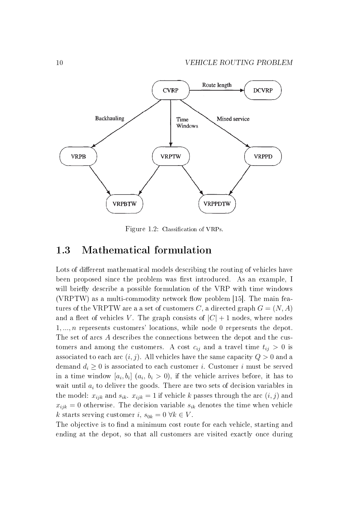

Figure 1.2: Classification of VRPs

### 1.3 Mathematical formulation

Lots of different mathematical models describing the routing of vehicles have been proposed since the problem was first introduced. As an example, I will briefly describe a possible formulation of the VRP with time windows (VRPTW) as a multi-commodity network flow problem  $[15]$ . The main features of the VRPTW are a a set of customers C, a directed graph  $G = (N, A)$ and a fleet of vehicles V. The graph consists of  $|C|+1$  nodes, where nodes 1, ..., n represents customers' locations, while node 0 represents the depot. The set of arcs A describes the connections between the depot and the customers and among the customers. A cost  $c_{ij}$  and a travel time  $t_{ij} > 0$  is associated to each arc  $(i, j)$ . All vehicles have the same capacity  $Q > 0$  and a demand  $d_i \geq 0$  is associated to each customer *i*. Customer *i* must be served in a time window  $[a_i, b_i]$   $(a_i, b_i > 0)$ , if the vehicle arrives before, it has to wait until  $a_i$  to deliver the goods. There are two sets of decision variables in the model:  $x_{ijk}$  and  $s_{ik}$ .  $x_{ijk} = 1$  if vehicle k passes through the arc  $(i, j)$  and  $x_{ijk} = 0$  otherwise. The decision variable  $s_{ik}$  denotes the time when vehicle k starts serving customer i,  $s_{0k} = 0 \ \forall k \in V$ .

The objective is to find a minimum cost route for each vehicle, starting and ending at the depot, so that all customers are visited exactly once during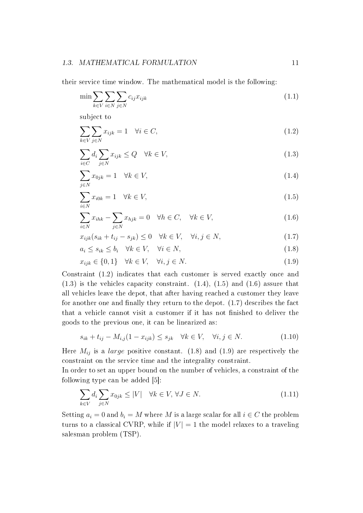#### 1.3. MATHEMATICAL FORMULATION 11

their service time window. The mathematical model is the following:

$$
\min \sum_{k \in V} \sum_{i \in N} \sum_{j \in N} c_{ij} x_{ijk} \tag{1.1}
$$

subject to

$$
\sum_{k \in V} \sum_{j \in N} x_{ijk} = 1 \quad \forall i \in C,
$$
\n(1.2)

$$
\sum_{i \in C} d_i \sum_{j \in N} x_{ijk} \le Q \quad \forall k \in V,
$$
\n(1.3)

$$
\sum_{j \in N} x_{0jk} = 1 \quad \forall k \in V,\tag{1.4}
$$

$$
\sum_{i \in N} x_{i0k} = 1 \quad \forall k \in V,\tag{1.5}
$$

$$
\sum_{i \in N} x_{ihk} - \sum_{j \in N} x_{hjk} = 0 \quad \forall h \in C, \quad \forall k \in V,
$$
\n(1.6)

$$
x_{ijk}(s_{ik} + t_{ij} - s_{jk}) \le 0 \quad \forall k \in V, \quad \forall i, j \in N,
$$
\n
$$
(1.7)
$$

$$
a_i \le s_{ik} \le b_i \quad \forall k \in V, \quad \forall i \in N,
$$
\n
$$
(1.8)
$$

$$
x_{ijk} \in \{0, 1\} \quad \forall k \in V, \quad \forall i, j \in N. \tag{1.9}
$$

Constraint (1.2) indicates that each customer is served exactly once and (1.3) is the vehicles capacity constraint. (1.4), (1.5) and (1.6) assure that all vehicles leave the depot, that after having reached a customer they leave for another one and finally they return to the depot.  $(1.7)$  describes the fact that a vehicle cannot visit a customer if it has not finished to deliver the goods to the previous one, it can be linearized as:

$$
s_{ik} + t_{ij} - M_{i,j}(1 - x_{ijk}) \le s_{jk} \quad \forall k \in V, \quad \forall i, j \in N. \tag{1.10}
$$

Here  $M_{ij}$  is a *large* positive constant. (1.8) and (1.9) are respectively the constraint on the service time and the integrality constraint.

In order to set an upper bound on the number of vehicles, a constraint of the following type can be added [5]:

$$
\sum_{k \in V} d_i \sum_{j \in N} x_{0jk} \le |V| \quad \forall k \in V, \forall J \in N.
$$
\n(1.11)

Setting  $a_i = 0$  and  $b_i = M$  where M is a large scalar for all  $i \in C$  the problem turns to a classical CVRP, while if  $|V| = 1$  the model relaxes to a traveling salesman problem (TSP).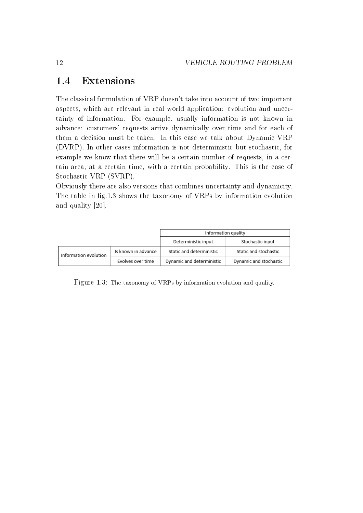## 1.4 Extensions

The classical formulation of VRP doesn't take into account of two important aspects, which are relevant in real world application: evolution and uncertainty of information. For example, usually information is not known in advance: customers' requests arrive dynamically over time and for each of them a decision must be taken. In this case we talk about Dynamic VRP (DVRP). In other cases information is not deterministic but stochastic, for example we know that there will be a certain number of requests, in a certain area, at a certain time, with a certain probability. This is the case of Stochastic VRP (SVRP).

Obviously there are also versions that combines uncertainty and dynamicity. The table in fig.1.3 shows the taxonomy of VRPs by information evolution and quality [20].

|                       |                     | Information quality       |                        |
|-----------------------|---------------------|---------------------------|------------------------|
|                       |                     | Deterministic input       | Stochastic input       |
| Information evolution | Is known in advance | Static and deterministic  | Static and stochastic  |
|                       | Evolves over time   | Dynamic and deterministic | Dynamic and stochastic |

Figure 1.3: The taxonomy of VRPs by information evolution and quality.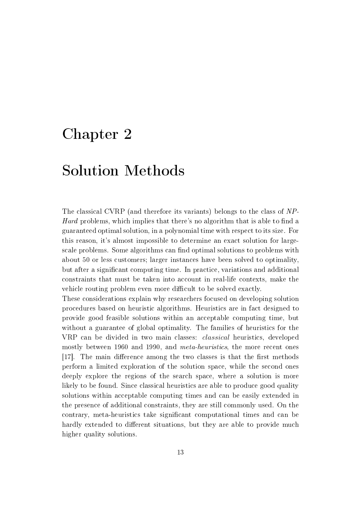# Chapter 2

# Solution Methods

The classical CVRP (and therefore its variants) belongs to the class of NP-Hard problems, which implies that there's no algorithm that is able to find a guaranteed optimal solution, in a polynomial time with respect to its size. For this reason, it's almost impossible to determine an exact solution for largescale problems. Some algorithms can find optimal solutions to problems with about 50 or less customers; larger instances have been solved to optimality, but after a signicant computing time. In practice, variations and additional constraints that must be taken into account in real-life contexts, make the vehicle routing problem even more difficult to be solved exactly.

These considerations explain why researchers focused on developing solution procedures based on heuristic algorithms. Heuristics are in fact designed to provide good feasible solutions within an acceptable computing time, but without a guarantee of global optimality. The families of heuristics for the VRP can be divided in two main classes: classical heuristics, developed mostly between 1960 and 1990, and meta-heuristics, the more recent ones [17]. The main difference among the two classes is that the first methods perform a limited exploration of the solution space, while the second ones deeply explore the regions of the search space, where a solution is more likely to be found. Since classical heuristics are able to produce good quality solutions within acceptable computing times and can be easily extended in the presence of additional constraints, they are still commonly used. On the contrary, meta-heuristics take signicant computational times and can be hardly extended to different situations, but they are able to provide much higher quality solutions.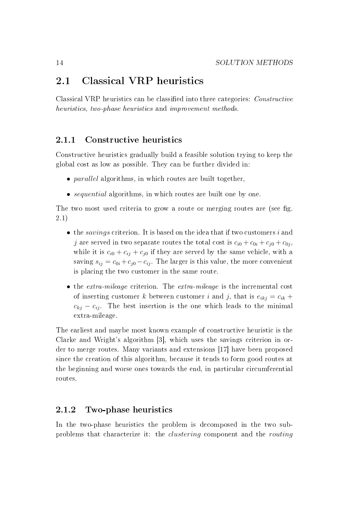## 2.1 Classical VRP heuristics

Classical VRP heuristics can be classified into three categories: *Constructive* heuristics, two-phase heuristics and improvement methods.

### 2.1.1 Constructive heuristics

Constructive heuristics gradually build a feasible solution trying to keep the global cost as low as possible. They can be further divided in:

- *parallel* algorithms, in which routes are built together,
- *sequential* algorithms, in which routes are built one by one.

The two most used criteria to grow a route or merging routes are (see fig. 2.1)

- $\bullet$  the *savings* criterion. It is based on the idea that if two customers i and j are served in two separate routes the total cost is  $c_{i0} + c_{0i} + c_{j0} + c_{0j}$ , while it is  $c_{i0} + c_{ij} + c_{j0}$  if they are served by the same vehicle, with a saving  $s_{ij} = c_{0i} + c_{j0} - c_{ij}$ . The larger is this value, the more convenient is placing the two customer in the same route.
- the *extra-mileage* criterion. The *extra-mileage* is the incremental cost of inserting customer k between customer i and j, that is  $e_{ikj} = c_{ik} +$  $c_{ki} - c_{ij}$ . The best insertion is the one which leads to the minimal extra-mileage.

The earliest and maybe most known example of constructive heuristic is the Clarke and Wright's algorithm [3], which uses the savings criterion in order to merge routes. Many variants and extensions [17] have been proposed since the creation of this algorithm, because it tends to form good routes at the beginning and worse ones towards the end, in particular circumferential routes.

### 2.1.2 Two-phase heuristics

In the two-phase heuristics the problem is decomposed in the two subproblems that characterize it: the clustering component and the routing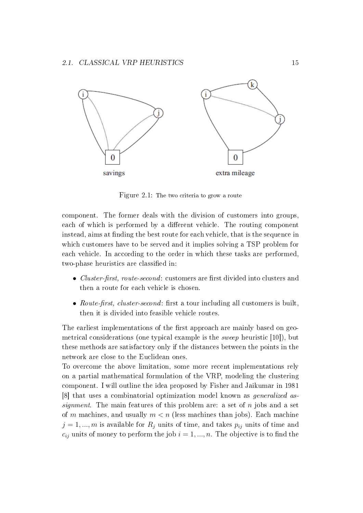

Figure 2.1: The two criteria to grow a route

component. The former deals with the division of customers into groups, each of which is performed by a different vehicle. The routing component instead, aims at finding the best route for each vehicle, that is the sequence in which customers have to be served and it implies solving a TSP problem for each vehicle. In according to the order in which these tasks are performed, two-phase heuristics are classified in:

- *Cluster-first, route-second:* customers are first divided into clusters and then a route for each vehicle is chosen.
- Route-first, cluster-second: first a tour including all customers is built, then it is divided into feasible vehicle routes.

The earliest implementations of the first approach are mainly based on geometrical considerations (one typical example is the sweep heuristic [10]), but these methods are satisfactory only if the distances between the points in the network are close to the Euclidean ones.

To overcome the above limitation, some more recent implementations rely on a partial mathematical formulation of the VRP, modeling the clustering component. I will outline the idea proposed by Fisher and Jaikumar in 1981 [8] that uses a combinatorial optimization model known as generalized assignment. The main features of this problem are: a set of n jobs and a set of m machines, and usually  $m < n$  (less machines than jobs). Each machine  $j = 1, ..., m$  is available for  $R_i$  units of time, and takes  $p_{ij}$  units of time and  $c_{ij}$  units of money to perform the job  $i = 1, ..., n$ . The objective is to find the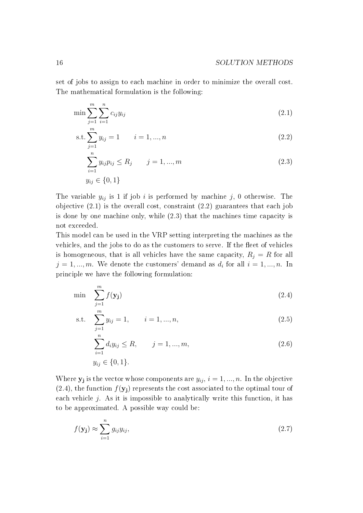set of jobs to assign to each machine in order to minimize the overall cost. The mathematical formulation is the following:

$$
\min \sum_{j=1}^{m} \sum_{i=1}^{n} c_{ij} y_{ij}
$$
\n(2.1)

$$
s.t. \sum_{j=1}^{m} y_{ij} = 1 \qquad i = 1, ..., n \qquad (2.2)
$$

$$
\sum_{i=1}^{n} y_{ij} p_{ij} \le R_j \qquad j = 1, ..., m
$$
\n
$$
y_{ij} \in \{0, 1\}
$$
\n(2.3)

The variable  $y_{ij}$  is 1 if job i is performed by machine j, 0 otherwise. The objective (2.1) is the overall cost, constraint (2.2) guarantees that each job is done by one machine only, while (2.3) that the machines time capacity is not exceeded.

This model can be used in the VRP setting interpreting the machines as the vehicles, and the jobs to do as the customers to serve. If the fleet of vehicles is homogeneous, that is all vehicles have the same capacity,  $R_j = R$  for all  $j = 1, ..., m$ . We denote the customers' demand as  $d_i$  for all  $i = 1, ..., n$ . In principle we have the following formulation:

$$
\min \sum_{j=1}^{m} f(\mathbf{y_j}) \tag{2.4}
$$

s.t. 
$$
\sum_{j=1}^{m} y_{ij} = 1, \qquad i = 1, ..., n,
$$
 (2.5)

$$
\sum_{i=1}^{n} d_i y_{ij} \le R, \qquad j = 1, ..., m,
$$
\n
$$
y_{ij} \in \{0, 1\}.
$$
\n(2.6)

Where  $y_j$  is the vector whose components are  $y_{ij}$ ,  $i = 1, ..., n$ . In the objective  $(2.4)$ , the function  $f(\mathbf{y}_j)$  represents the cost associated to the optimal tour of each vehicle  $j$ . As it is impossible to analytically write this function, it has to be approximated. A possible way could be:

$$
f(\mathbf{y_j}) \approx \sum_{i=1}^{n} g_{ij} y_{ij},
$$
\n(2.7)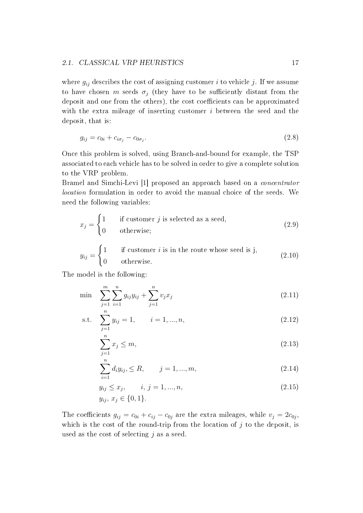#### 2.1. CLASSICAL VRP HEURISTICS 17

where  $g_{ij}$  describes the cost of assigning customer i to vehicle j. If we assume to have chosen m seeds  $\sigma_j$  (they have to be sufficiently distant from the deposit and one from the others), the cost coefficients can be approximated with the extra mileage of inserting customer i between the seed and the deposit, that is:

$$
g_{ij} = c_{0i} + c_{i\sigma_j} - c_{0\sigma_j}.\tag{2.8}
$$

Once this problem is solved, using Branch-and-bound for example, the TSP associated to each vehicle has to be solved in order to give a complete solution to the VRP problem.

Bramel and Simchi-Levi [1] proposed an approach based on a concentrator location formulation in order to avoid the manual choice of the seeds. We need the following variables:

$$
x_j = \begin{cases} 1 & \text{if customer } j \text{ is selected as a seed,} \\ 0 & \text{otherwise;} \end{cases} \tag{2.9}
$$

$$
y_{ij} = \begin{cases} 1 & \text{if customer } i \text{ is in the route whose seed is j,} \\ 0 & \text{otherwise.} \end{cases}
$$
 (2.10)

The model is the following:

$$
\min \sum_{j=1}^{m} \sum_{i=1}^{n} g_{ij} y_{ij} + \sum_{j=1}^{n} v_j x_j \tag{2.11}
$$

s.t. 
$$
\sum_{j=1}^{n} y_{ij} = 1, \qquad i = 1, ..., n,
$$
 (2.12)

$$
\sum_{j=1}^{n} x_j \le m,\tag{2.13}
$$

$$
\sum_{i=1}^{n} d_i y_{ij}, \le R, \qquad j = 1, ..., m,
$$
\n(2.14)

$$
y_{ij} \le x_j, \qquad i, j = 1, ..., n,
$$
  

$$
y_{ij}, x_j \in \{0, 1\}.
$$
 (2.15)

The coefficients  $g_{ij} = c_{0i} + c_{ij} - c_{0j}$  are the extra mileages, while  $v_j = 2c_{0j}$ , which is the cost of the round-trip from the location of  $j$  to the deposit, is used as the cost of selecting  $j$  as a seed.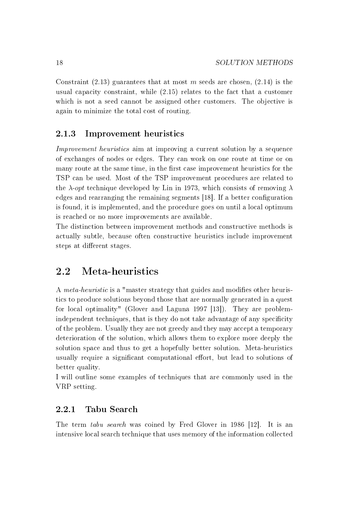Constraint  $(2.13)$  guarantees that at most m seeds are chosen,  $(2.14)$  is the usual capacity constraint, while (2.15) relates to the fact that a customer which is not a seed cannot be assigned other customers. The objective is again to minimize the total cost of routing.

### 2.1.3 Improvement heuristics

Improvement heuristics aim at improving a current solution by a sequence of exchanges of nodes or edges. They can work on one route at time or on many route at the same time, in the first case improvement heuristics for the TSP can be used. Most of the TSP improvement procedures are related to the  $\lambda$ -*opt* technique developed by Lin in 1973, which consists of removing  $\lambda$ edges and rearranging the remaining segments [18]. If a better configuration is found, it is implemented, and the procedure goes on until a local optimum is reached or no more improvements are available.

The distinction between improvement methods and constructive methods is actually subtle, because often constructive heuristics include improvement steps at different stages.

## 2.2 Meta-heuristics

A *meta-heuristic* is a "master strategy that guides and modifies other heuristics to produce solutions beyond those that are normally generated in a quest for local optimality" (Glover and Laguna 1997 [13]). They are problemindependent techniques, that is they do not take advantage of any specificity of the problem. Usually they are not greedy and they may accept a temporary deterioration of the solution, which allows them to explore more deeply the solution space and thus to get a hopefully better solution. Meta-heuristics usually require a significant computational effort, but lead to solutions of better quality.

I will outline some examples of techniques that are commonly used in the VRP setting.

### 2.2.1 Tabu Search

The term tabu search was coined by Fred Glover in 1986 [12]. It is an intensive local search technique that uses memory of the information collected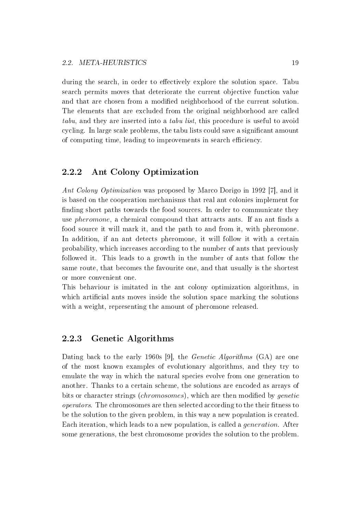during the search, in order to effectively explore the solution space. Tabu search permits moves that deteriorate the current objective function value and that are chosen from a modified neighborhood of the current solution. The elements that are excluded from the original neighborhood are called tabu, and they are inserted into a tabu list, this procedure is useful to avoid cycling. In large scale problems, the tabu lists could save a signicant amount of computing time, leading to improvements in search efficiency.

### 2.2.2 Ant Colony Optimization

Ant Colony Optimization was proposed by Marco Dorigo in 1992 [7], and it is based on the cooperation mechanisms that real ant colonies implement for finding short paths towards the food sources. In order to communicate they use *pheromone*, a chemical compound that attracts ants. If an ant finds a food source it will mark it, and the path to and from it, with pheromone. In addition, if an ant detects pheromone, it will follow it with a certain probability, which increases according to the number of ants that previously followed it. This leads to a growth in the number of ants that follow the same route, that becomes the favourite one, and that usually is the shortest or more convenient one.

This behaviour is imitated in the ant colony optimization algorithms, in which artificial ants moves inside the solution space marking the solutions with a weight, representing the amount of pheromone released.

### 2.2.3 Genetic Algorithms

Dating back to the early 1960s [9], the *Genetic Algorithms* (GA) are one of the most known examples of evolutionary algorithms, and they try to emulate the way in which the natural species evolve from one generation to another. Thanks to a certain scheme, the solutions are encoded as arrays of bits or character strings (*chromosomes*), which are then modified by *genetic* operators. The chromosomes are then selected according to the their fitness to be the solution to the given problem, in this way a new population is created. Each iteration, which leads to a new population, is called a *generation*. After some generations, the best chromosome provides the solution to the problem.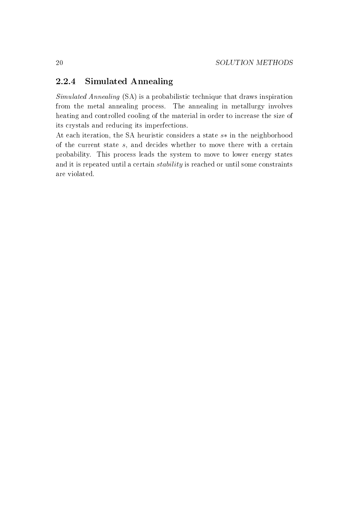### 2.2.4 Simulated Annealing

Simulated Annealing (SA) is a probabilistic technique that draws inspiration from the metal annealing process. The annealing in metallurgy involves heating and controlled cooling of the material in order to increase the size of its crystals and reducing its imperfections.

At each iteration, the SA heuristic considers a state s∗ in the neighborhood of the current state s, and decides whether to move there with a certain probability. This process leads the system to move to lower energy states and it is repeated until a certain stability is reached or until some constraints are violated.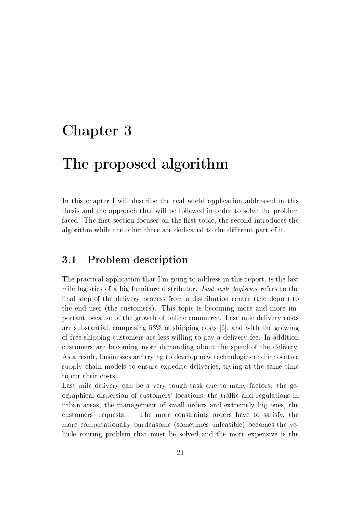# Chapter 3

# The proposed algorithm

In this chapter I will describe the real world application addressed in this thesis and the approach that will be followed in order to solve the problem faced. The first section focuses on the first topic, the second introduces the algorithm while the other three are dedicated to the different part of it.

## 3.1 Problem description

The practical application that I'm going to address in this report, is the last mile logistics of a big furniture distributor. Last mile logistics refers to the final step of the delivery process from a distribution center (the depot) to the end user (the customers). This topic is becoming more and more important because of the growth of online commerce. Last mile delivery costs are substantial, comprising  $53\%$  of shipping costs [6], and with the growing of free shipping customers are less willing to pay a delivery fee. In addition customers are becoming more demanding about the speed of the delivery. As a result, businesses are trying to develop new technologies and innovative supply chain models to ensure expedite deliveries, trying at the same time to cut their costs.

Last mile delivery can be a very tough task due to many factors: the geographical dispersion of customers' locations, the traffic and regulations in urban areas, the management of small orders and extremely big ones, the customers' requests,... The more constraints orders have to satisfy, the more computationally burdensome (sometimes unfeasible) becomes the vehicle routing problem that must be solved and the more expensive is the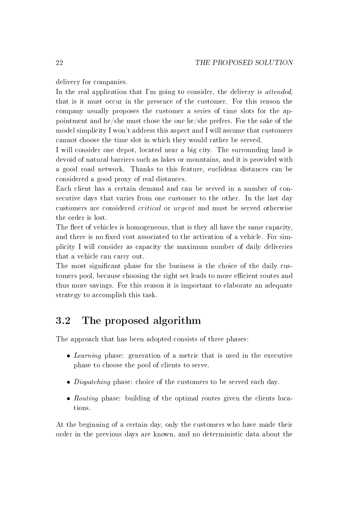delivery for companies.

In the real application that I'm going to consider, the delivery is *attended*, that is it must occur in the presence of the customer. For this reason the company usually proposes the customer a series of time slots for the appointment and he/she must chose the one he/she prefers. For the sake of the model simplicity I won't address this aspect and I will assume that customers cannot choose the time slot in which they would rather be served.

I will consider one depot, located near a big city. The surrounding land is devoid of natural barriers such as lakes or mountains, and it is provided with a good road network. Thanks to this feature, euclidean distances can be considered a good proxy of real distances.

Each client has a certain demand and can be served in a number of consecutive days that varies from one customer to the other. In the last day customers are considered critical or urgent and must be served otherwise the order is lost.

The fleet of vehicles is homogeneous, that is they all have the same capacity, and there is no fixed cost associated to the activation of a vehicle. For simplicity I will consider as capacity the maximum number of daily deliveries that a vehicle can carry out.

The most significant phase for the business is the choice of the daily customers pool, because choosing the right set leads to more efficient routes and thus more savings. For this reason it is important to elaborate an adequate strategy to accomplish this task.

## 3.2 The proposed algorithm

The approach that has been adopted consists of three phases:

- Learning phase: generation of a metric that is used in the executive phase to choose the pool of clients to serve.
- Dispatching phase: choice of the customers to be served each day.
- Routing phase: building of the optimal routes given the clients locations.

At the beginning of a certain day, only the customers who have made their order in the previous days are known, and no deterministic data about the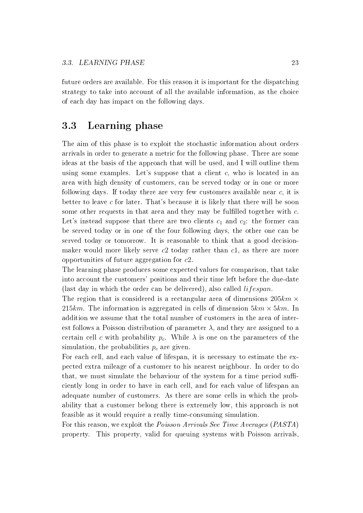future orders are available. For this reason it is important for the dispatching strategy to take into account of all the available information, as the choice of each day has impact on the following days.

## 3.3 Learning phase

The aim of this phase is to exploit the stochastic information about orders arrivals in order to generate a metric for the following phase. There are some ideas at the basis of the approach that will be used, and I will outline them using some examples. Let's suppose that a client  $c$ , who is located in an area with high density of customers, can be served today or in one or more following days. If today there are very few customers available near  $c$ , it is better to leave  $c$  for later. That's because it is likely that there will be soon some other requests in that area and they may be fulfilled together with  $c$ . Let's instead suppose that there are two clients  $c_1$  and  $c_2$ : the former can be served today or in one of the four following days, the other one can be served today or tomorrow. It is reasonable to think that a good decisionmaker would more likely serve  $c2$  today rather than  $c1$ , as there are more opportunities of future aggregation for c2.

The learning phase produces some expected values for comparison, that take into account the customers' positions and their time left before the due-date (last day in which the order can be delivered), also called  $lifespan$ .

The region that is considered is a rectangular area of dimensions  $205km \times$ 215km. The information is aggregated in cells of dimension  $5km \times 5km$ . In addition we assume that the total number of customers in the area of interest follows a Poisson distribution of parameter  $\lambda$ , and they are assigned to a certain cell c with probability  $p_c$ . While  $\lambda$  is one on the parameters of the simulation, the probabilities  $p_c$  are given.

For each cell, and each value of lifespan, it is necessary to estimate the expected extra mileage of a customer to his nearest neighbour. In order to do that, we must simulate the behaviour of the system for a time period sufficiently long in order to have in each cell, and for each value of lifespan an adequate number of customers. As there are some cells in which the probability that a customer belong there is extremely low, this approach is not feasible as it would require a really time-consuming simulation.

For this reason, we exploit the Poisson Arrivals See Time Averages (PASTA) property. This property, valid for queuing systems with Poisson arrivals,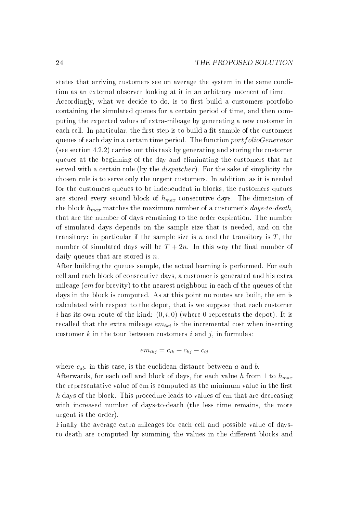states that arriving customers see on average the system in the same condition as an external observer looking at it in an arbitrary moment of time. Accordingly, what we decide to do, is to first build a customers portfolio containing the simulated queues for a certain period of time, and then computing the expected values of extra-mileage by generating a new customer in each cell. In particular, the first step is to build a fit-sample of the customers queues of each day in a certain time period. The function *port folioGenerator* (see section 4.2.2) carries out this task by generating and storing the customer queues at the beginning of the day and eliminating the customers that are served with a certain rule (by the *dispatcher*). For the sake of simplicity the chosen rule is to serve only the urgent customers. In addition, as it is needed for the customers queues to be independent in blocks, the customers queues are stored every second block of  $h_{max}$  consecutive days. The dimension of the block  $h_{max}$  matches the maximum number of a customer's days-to-death, that are the number of days remaining to the order expiration. The number of simulated days depends on the sample size that is needed, and on the transitory: in particular if the sample size is n and the transitory is  $T$ , the number of simulated days will be  $T + 2n$ . In this way the final number of daily queues that are stored is  $n$ .

After building the queues sample, the actual learning is performed. For each cell and each block of consecutive days, a customer is generated and his extra mileage (em for brevity) to the nearest neighbour in each of the queues of the days in the block is computed. As at this point no routes are built, the em is calculated with respect to the depot, that is we suppose that each customer i has its own route of the kind:  $(0, i, 0)$  (where 0 represents the depot). It is recalled that the extra mileage  $em_{ikj}$  is the incremental cost when inserting customer  $k$  in the tour between customers  $i$  and  $j$ , in formulas:

$$
em_{ikj} = c_{ik} + c_{kj} - c_{ij}
$$

where  $c_{ab}$ , in this case, is the euclidean distance between a and b.

Afterwards, for each cell and block of days, for each value h from 1 to  $h_{max}$ the representative value of em is computed as the minimum value in the first h days of the block. This procedure leads to values of em that are decreasing with increased number of days-to-death (the less time remains, the more urgent is the order).

Finally the average extra mileages for each cell and possible value of daysto-death are computed by summing the values in the different blocks and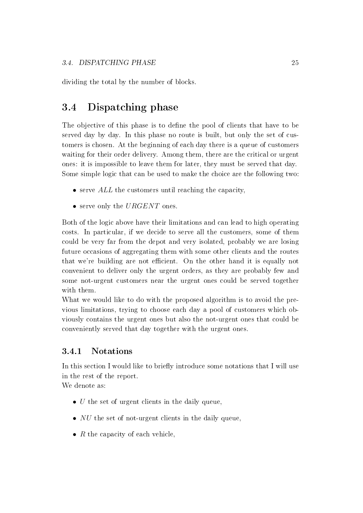dividing the total by the number of blocks.

## 3.4 Dispatching phase

The objective of this phase is to define the pool of clients that have to be served day by day. In this phase no route is built, but only the set of customers is chosen. At the beginning of each day there is a queue of customers waiting for their order delivery. Among them, there are the critical or urgent ones: it is impossible to leave them for later, they must be served that day. Some simple logic that can be used to make the choice are the following two:

- $\bullet$  serve  $ALL$  the customers until reaching the capacity,
- serve only the  $URGENT$  ones.

Both of the logic above have their limitations and can lead to high operating costs. In particular, if we decide to serve all the customers, some of them could be very far from the depot and very isolated, probably we are losing future occasions of aggregating them with some other clients and the routes that we're building are not efficient. On the other hand it is equally not convenient to deliver only the urgent orders, as they are probably few and some not-urgent customers near the urgent ones could be served together with them.

What we would like to do with the proposed algorithm is to avoid the previous limitations, trying to choose each day a pool of customers which obviously contains the urgent ones but also the not-urgent ones that could be conveniently served that day together with the urgent ones.

### 3.4.1 Notations

In this section I would like to briefly introduce some notations that I will use in the rest of the report.

We denote as:

- $\bullet$  U the set of urgent clients in the daily queue,
- $NU$  the set of not-urgent clients in the daily queue,
- $R$  the capacity of each vehicle,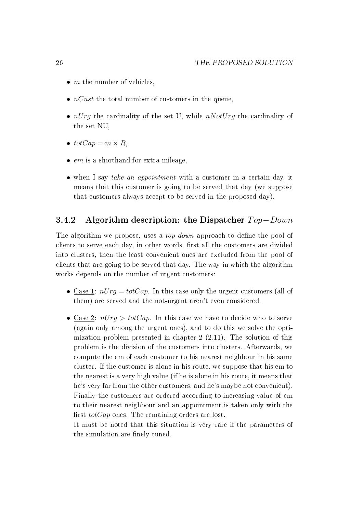- $m$  the number of vehicles,
- $nCust$  the total number of customers in the queue.
- $nUrg$  the cardinality of the set U, while  $nNotUrg$  the cardinality of the set NU,
- $totCap = m \times R$ .
- $em$  is a shorthand for extra mileage,
- when I say take an appointment with a customer in a certain day, it means that this customer is going to be served that day (we suppose that customers always accept to be served in the proposed day).

### 3.4.2 Algorithm description: the Dispatcher  $Top-Down$

The algorithm we propose, uses a  $top-down$  approach to define the pool of clients to serve each day, in other words, first all the customers are divided into clusters, then the least convenient ones are excluded from the pool of clients that are going to be served that day. The way in which the algorithm works depends on the number of urgent customers:

- Case 1:  $nUrq = totCap$ . In this case only the urgent customers (all of them) are served and the not-urgent aren't even considered.
- Case 2:  $nUrq > totCap$ . In this case we have to decide who to serve (again only among the urgent ones), and to do this we solve the optimization problem presented in chapter 2 (2.11). The solution of this problem is the division of the customers into clusters. Afterwards, we compute the em of each customer to his nearest neighbour in his same cluster. If the customer is alone in his route, we suppose that his em to the nearest is a very high value (if he is alone in his route, it means that he's very far from the other customers, and he's maybe not convenient). Finally the customers are ordered according to increasing value of em to their nearest neighbour and an appointment is taken only with the first  $totCap$  ones. The remaining orders are lost.

It must be noted that this situation is very rare if the parameters of the simulation are finely tuned.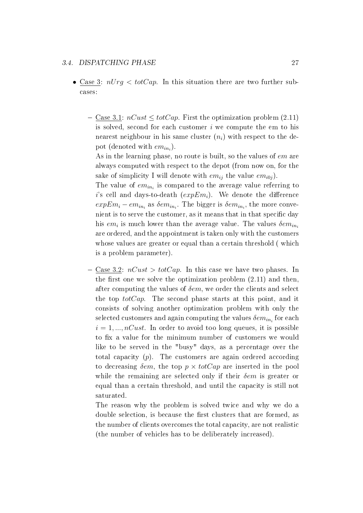#### 3.4. DISPATCHING PHASE 27

- Case 3:  $nUrq < totCap$ . In this situation there are two further subcases:
	- $\sim$  Case 3.1:  $nCust \leq totCap$ . First the optimization problem (2.11) is solved, second for each customer  $i$  we compute the em to his nearest neighbour in his same cluster  $(n_i)$  with respect to the depot (denoted with  $em_{in_i}$ ).

As in the learning phase, no route is built, so the values of em are always computed with respect to the depot (from now on, for the sake of simplicity I will denote with  $em_{ij}$  the value  $em_{i0j}$ .

The value of  $em_{in_i}$  is compared to the average value referring to i's cell and days-to-death  $(expEm<sub>i</sub>)$ . We denote the difference  $expEm_i - em_{in_i}$  as  $\delta em_{in_i}$ . The bigger is  $\delta em_{in_i}$ , the more convenient is to serve the customer, as it means that in that specific day his  $em_i$  is much lower than the average value. The values  $\delta em_{in_i}$ are ordered, and the appointment is taken only with the customers whose values are greater or equal than a certain threshold ( which is a problem parameter).

- Case 3.2:  $nCust > totCap$ . In this case we have two phases. In the first one we solve the optimization problem  $(2.11)$  and then, after computing the values of  $\delta$ em, we order the clients and select the top  $totCap$ . The second phase starts at this point, and it consists of solving another optimization problem with only the selected customers and again computing the values  $\delta em_{in_{i}}$  for each  $i = 1, ..., nCust$ . In order to avoid too long queues, it is possible to fix a value for the minimum number of customers we would like to be served in the "busy" days, as a percentage over the total capacity (p). The customers are again ordered according to decreasing  $\delta$ em, the top  $p \times totCap$  are inserted in the pool while the remaining are selected only if their  $\delta e m$  is greater or equal than a certain threshold, and until the capacity is still not saturated.

The reason why the problem is solved twice and why we do a double selection, is because the first clusters that are formed, as the number of clients overcomes the total capacity, are not realistic (the number of vehicles has to be deliberately increased).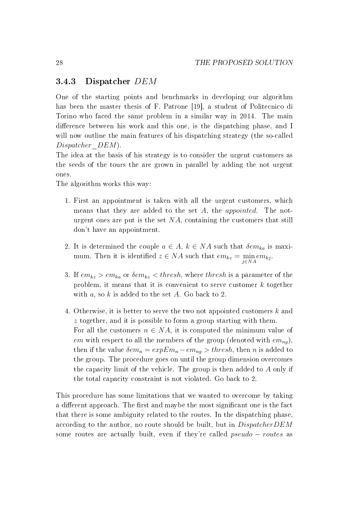### 3.4.3 Dispatcher DEM

One of the starting points and benchmarks in developing our algorithm has been the master thesis of F. Patrone [19], a student of Politecnico di Torino who faced the same problem in a similar way in 2014. The main difference between his work and this one, is the dispatching phase, and I will now outline the main features of his dispatching strategy (the so-called Dispatcher DEM).

The idea at the basis of his strategy is to consider the urgent customers as the seeds of the tours the are grown in parallel by adding the not urgent ones.

The algorithm works this way:

- 1. First an appointment is taken with all the urgent customers, which means that they are added to the set A, the appointed. The noturgent ones are put is the set  $NA$ , containing the customers that still don't have an appointment.
- 2. It is determined the couple  $a \in A$ ,  $k \in NA$  such that  $\delta em_{ka}$  is maximum. Then it is identified  $z \in NA$  such that  $em_{kz} = \min_{j \in NA} em_{kj}$ .
- 3. If  $em_{kz} > em_{ka}$  or  $\delta em_{kz} < thresh$ , where thresh is a parameter of the problem, it means that it is convenient to serve customer k together with  $a$ , so  $k$  is added to the set  $A$ . Go back to 2.
- 4. Otherwise, it is better to serve the two not appointed customers k and z together, and it is possible to form a group starting with them. For all the customers  $n \in NA$ , it is computed the minimum value of em with respect to all the members of the group (denoted with  $em_{nq}$ ), then if the value  $\delta em_n = expEm_n - em_{nq} > thresh$ , then n is added to the group. The procedure goes on until the group dimension overcomes the capacity limit of the vehicle. The group is then added to  $A$  only if the total capacity constraint is not violated. Go back to 2.

This procedure has some limitations that we wanted to overcome by taking a different approach. The first and maybe the most significant one is the fact that there is some ambiguity related to the routes. In the dispatching phase, according to the author, no route should be built, but in DispatcherDEM some routes are actually built, even if they're called *pseudo – routes* as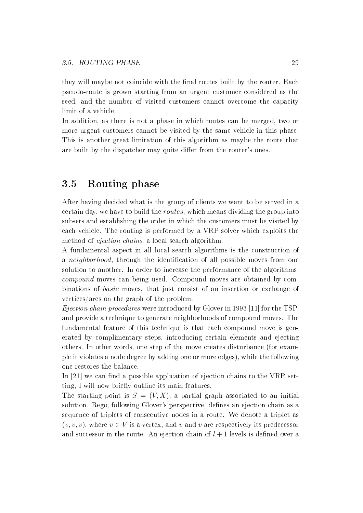they will maybe not coincide with the final routes built by the router. Each pseudo-route is grown starting from an urgent customer considered as the seed, and the number of visited customers cannot overcome the capacity limit of a vehicle.

In addition, as there is not a phase in which routes can be merged, two or more urgent customers cannot be visited by the same vehicle in this phase. This is another great limitation of this algorithm as maybe the route that are built by the dispatcher may quite differ from the router's ones.

## 3.5 Routing phase

After having decided what is the group of clients we want to be served in a certain day, we have to build the routes, which means dividing the group into subsets and establishing the order in which the customers must be visited by each vehicle. The routing is performed by a VRP solver which exploits the method of ejection chains, a local search algorithm.

A fundamental aspect in all local search algorithms is the construction of a *neighborhood*, through the identification of all possible moves from one solution to another. In order to increase the performance of the algorithms, compound moves can being used. Compound moves are obtained by combinations of basic moves, that just consist of an insertion or exchange of vertices/arcs on the graph of the problem.

Ejection chain procedures were introduced by Glover in 1993 [11] for the TSP, and provide a technique to generate neighborhoods of compound moves. The fundamental feature of this technique is that each compound move is generated by complimentary steps, introducing certain elements and ejecting others. In other words, one step of the move creates disturbance (for example it violates a node degree by adding one or more edges), while the following one restores the balance.

In  $[21]$  we can find a possible application of ejection chains to the VRP setting, I will now briefly outline its main features.

The starting point is  $S = (V, X)$ , a partial graph associated to an initial solution. Rego, following Glover's perspective, defines an ejection chain as a sequence of triplets of consecutive nodes in a route. We denote a triplet as  $(v, v, \overline{v})$ , where  $v \in V$  is a vertex, and v and  $\overline{v}$  are respectively its predecessor and successor in the route. An ejection chain of  $l + 1$  levels is defined over a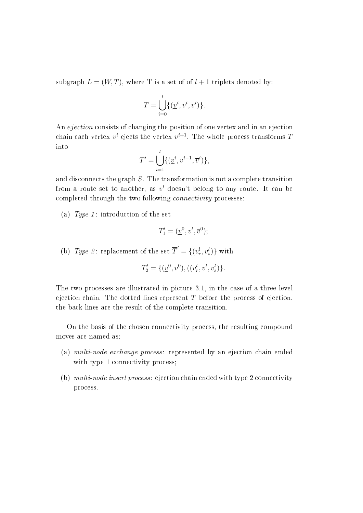subgraph  $L = (W, T)$ , where T is a set of of  $l + 1$  triplets denoted by:

$$
T = \bigcup_{i=0}^{l} \{ (\underline{v}^i, v^i, \overline{v}^i) \}.
$$

An *ejection* consists of changing the position of one vertex and in an ejection chain each vertex  $v^i$  ejects the vertex  $v^{i+1}$ . The whole process transforms T into

$$
T' = \bigcup_{i=1}^{l} \{ (\underline{v}^i, v^{i-1}, \overline{v}^i) \},
$$

and disconnects the graph S. The transformation is not a complete transition from a route set to another, as  $v^l$  doesn't belong to any route. It can be completed through the two following connectivity processes:

(a) Type 1: introduction of the set

$$
T_1' = (\underline{v}^0, v^l, \overline{v}^0);
$$

(b) Type 2: replacement of the set  $\overline{T}' = \{(v_r^l, v_s^l)\}\$  with

$$
T_2' = \{ (\underline{v}^0, v^0), ((v_r^l, v^l, v_s^l) \}.
$$

The two processes are illustrated in picture 3.1, in the case of a three level ejection chain. The dotted lines represent  $T$  before the process of ejection, the back lines are the result of the complete transition.

On the basis of the chosen connectivity process, the resulting compound moves are named as:

- (a) multi-node exchange process: represented by an ejection chain ended with type 1 connectivity process;
- (b) multi-node insert process: ejection chain ended with type 2 connectivity process.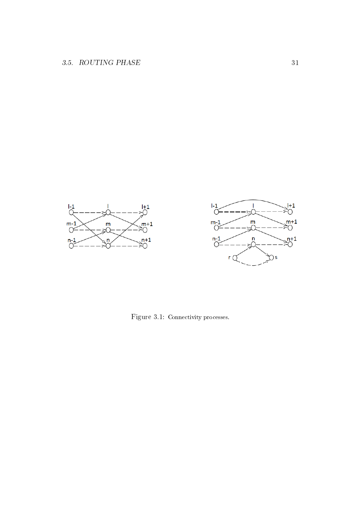

Figure 3.1: Connectivity processes.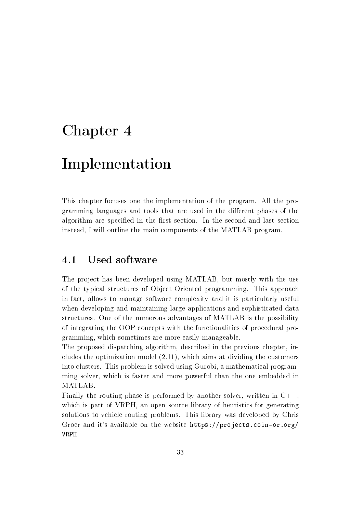# Chapter 4

# Implementation

This chapter focuses one the implementation of the program. All the programming languages and tools that are used in the different phases of the algorithm are specified in the first section. In the second and last section instead, I will outline the main components of the MATLAB program.

## 4.1 Used software

The project has been developed using MATLAB, but mostly with the use of the typical structures of Object Oriented programming. This approach in fact, allows to manage software complexity and it is particularly useful when developing and maintaining large applications and sophisticated data structures. One of the numerous advantages of MATLAB is the possibility of integrating the OOP concepts with the functionalities of procedural programming, which sometimes are more easily manageable.

The proposed dispatching algorithm, described in the previous chapter, includes the optimization model (2.11), which aims at dividing the customers into clusters. This problem is solved using Gurobi, a mathematical programming solver, which is faster and more powerful than the one embedded in MATLAB.

Finally the routing phase is performed by another solver, written in  $C_{++}$ , which is part of VRPH, an open source library of heuristics for generating solutions to vehicle routing problems. This library was developed by Chris Groer and it's available on the website https://projects.coin-or.org/ VRPH.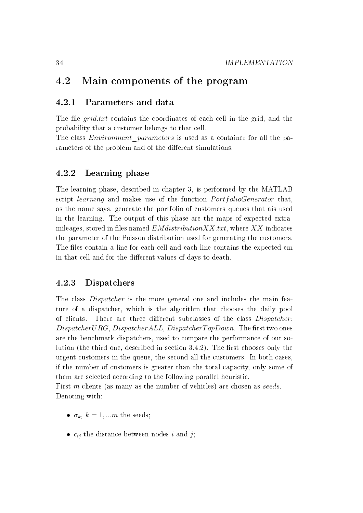## 4.2 Main components of the program

### 4.2.1 Parameters and data

The file  $grid.txt$  contains the coordinates of each cell in the grid, and the probability that a customer belongs to that cell.

The class *Environment* parameters is used as a container for all the parameters of the problem and of the different simulations.

### 4.2.2 Learning phase

The learning phase, described in chapter 3, is performed by the MATLAB script *learning* and makes use of the function *PortfolioGenerator* that, as the name says, generate the portfolio of customers queues that ais used in the learning. The output of this phase are the maps of expected extramileages, stored in files named  $EM distribution XX.txt$ , where  $XX$  indicates the parameter of the Poisson distribution used for generating the customers. The files contain a line for each cell and each line contains the expected em in that cell and for the different values of days-to-death.

### 4.2.3 Dispatchers

The class *Dispatcher* is the more general one and includes the main feature of a dispatcher, which is the algorithm that chooses the daily pool of clients. There are three different subclasses of the class *Dispatcher*:  $DispatcherURG, DispatcherALL, DispatcherTopDown.$  The first two ones are the benchmark dispatchers, used to compare the performance of our solution (the third one, described in section  $3.4.2$ ). The first chooses only the urgent customers in the queue, the second all the customers. In both cases, if the number of customers is greater than the total capacity, only some of them are selected according to the following parallel heuristic.

First m clients (as many as the number of vehicles) are chosen as seeds. Denoting with:

- $\sigma_k$ ,  $k = 1,...m$  the seeds;
- $c_{ij}$  the distance between nodes i and j;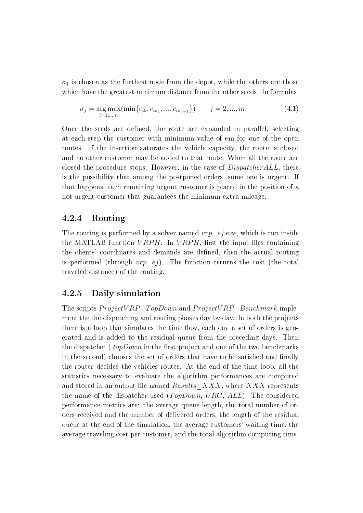$\sigma_1$  is chosen as the furthest node from the depot, while the others are those which have the greatest minimum distance from the other seeds. In formulas:

$$
\sigma_j = \underset{i=1,\dots,n}{\arg \max}(\min\{c_{i0}, c_{i\sigma_1}, \dots, c_{i\sigma_{j-1}}\}) \qquad j=2,\dots,m. \tag{4.1}
$$

Once the seeds are defined, the route are expanded in parallel, selecting at each step the customer with minimum value of em for one of the open routes. If the insertion saturates the vehicle capacity, the route is closed and no other customer may be added to that route. When all the route are closed the procedure stops. However, in the case of *DispatcherALL*, there is the possibility that among the postponed orders, some one is urgent. If that happens, each remaining urgent customer is placed in the position of a not urgent customer that guarantees the minimum extra mileage.

### 4.2.4 Routing

The routing is performed by a solver named  $vrp$  ej.exe, which is run inside the MATLAB function  $VRPH$ . In  $VRPH$ , first the input files containing the clients' coordinates and demands are dened, then the actual routing is performed (through  $vrp$  ej). The function returns the cost (the total traveled distance) of the routing.

### 4.2.5 Daily simulation

The scripts  $ProjectVRP$  TopDown and  $ProjectVRP$  Benchmark implement the the dispatching and routing phases day by day. In both the projects there is a loop that simulates the time flow, each day a set of orders is generated and is added to the residual queue from the preceding days. Then the dispatcher ( $topDown$  in the first project and one of the two benchmarks in the second) chooses the set of orders that have to be satisfied and finally the router decides the vehicles routes. At the end of the time loop, all the statistics necessary to evaluate the algorithm performances are computed and stored in an output file named Results  $XXX$ , where XXX represents the name of the dispatcher used  $(TopDown, URG, ALL)$ . The considered performance metrics are: the average queue length, the total number of orders received and the number of delivered orders, the length of the residual queue at the end of the simulation, the average customers' waiting time, the average traveling cost per customer, and the total algorithm computing time.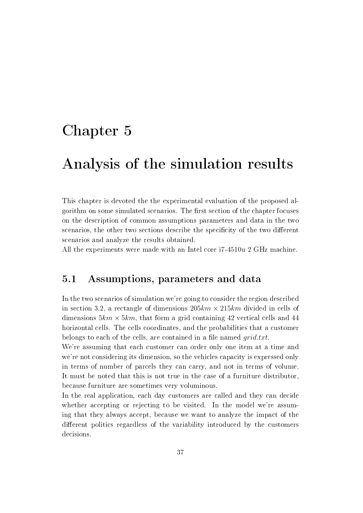# Chapter 5

# Analysis of the simulation results

This chapter is devoted the the experimental evaluation of the proposed algorithm on some simulated scenarios. The first section of the chapter focuses on the description of common assumptions parameters and data in the two scenarios, the other two sections describe the specificity of the two different scenarios and analyze the results obtained.

All the experiments were made with an Intel core i7-4510u 2 GHz machine.

## 5.1 Assumptions, parameters and data

In the two scenarios of simulation we're going to consider the region described in section 3.2, a rectangle of dimensions  $205km \times 215km$  divided in cells of dimensions  $5km \times 5km$ , that form a grid containing 42 vertical cells and 44 horizontal cells. The cells coordinates, and the probabilities that a customer belongs to each of the cells, are contained in a file named  $grid.txt$ .

We're assuming that each customer can order only one item at a time and we're not considering its dimension, so the vehicles capacity is expressed only in terms of number of parcels they can carry, and not in terms of volume. It must be noted that this is not true in the case of a furniture distributor, because furniture are sometimes very voluminous.

In the real application, each day customers are called and they can decide whether accepting or rejecting to be visited. In the model we're assuming that they always accept, because we want to analyze the impact of the different politics regardless of the variability introduced by the customers decisions.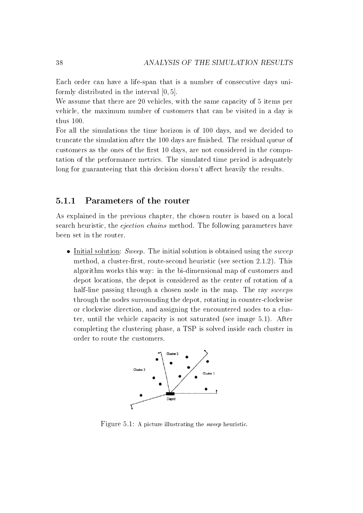Each order can have a life-span that is a number of consecutive days uniformly distributed in the interval [0, 5].

We assume that there are 20 vehicles, with the same capacity of 5 items per vehicle, the maximum number of customers that can be visited in a day is thus 100.

For all the simulations the time horizon is of 100 days, and we decided to truncate the simulation after the 100 days are finished. The residual queue of customers as the ones of the first 10 days, are not considered in the computation of the performance metrics. The simulated time period is adequately long for guaranteeing that this decision doesn't affect heavily the results.

### 5.1.1 Parameters of the router

As explained in the previous chapter, the chosen router is based on a local search heuristic, the *ejection chains* method. The following parameters have been set in the router.

• Initial solution: Sweep. The initial solution is obtained using the sweep method, a cluster-first, route-second heuristic (see section  $2.1.2$ ). This algorithm works this way: in the bi-dimensional map of customers and depot locations, the depot is considered as the center of rotation of a half-line passing through a chosen node in the map. The ray *sweeps* through the nodes surrounding the depot, rotating in counter-clockwise or clockwise direction, and assigning the encountered nodes to a cluster, until the vehicle capacity is not saturated (see image 5.1). After completing the clustering phase, a TSP is solved inside each cluster in order to route the customers.



Figure 5.1: A picture illustrating the sweep heuristic.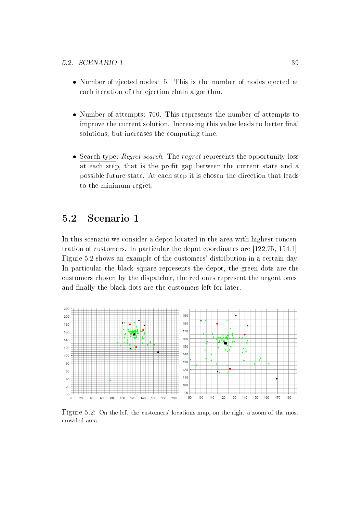- Number of ejected nodes: 5. This is the number of nodes ejected at each iteration of the ejection chain algorithm.
- Number of attempts: 700. This represents the number of attempts to improve the current solution. Increasing this value leads to better final solutions, but increases the computing time.
- Search type: *Regret search*. The *regret* represents the opportunity loss at each step, that is the profit gap between the current state and a possible future state. At each step it is chosen the direction that leads to the minimum regret.

## 5.2 Scenario 1

In this scenario we consider a depot located in the area with highest concentration of customers. In particular the depot coordinates are [122.75, 154.1]. Figure 5.2 shows an example of the customers' distribution in a certain day. In particular the black square represents the depot, the green dots are the customers chosen by the dispatcher, the red ones represent the urgent ones, and finally the black dots are the customers left for later.



Figure 5.2: On the left the customers' locations map, on the right a zoom of the most crowded area.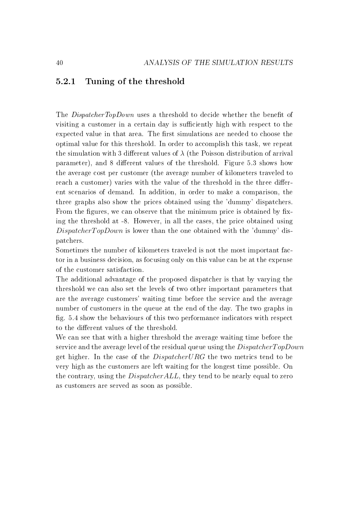### 5.2.1 Tuning of the threshold

The *DispatcherTopDown* uses a threshold to decide whether the benefit of visiting a customer in a certain day is sufficiently high with respect to the expected value in that area. The first simulations are needed to choose the optimal value for this threshold. In order to accomplish this task, we repeat the simulation with 3 different values of  $\lambda$  (the Poisson distribution of arrival parameter), and 8 different values of the threshold. Figure 5.3 shows how the average cost per customer (the average number of kilometers traveled to reach a customer) varies with the value of the threshold in the three different scenarios of demand. In addition, in order to make a comparison, the three graphs also show the prices obtained using the 'dummy' dispatchers. From the figures, we can observe that the minimum price is obtained by fixing the threshold at -8. However, in all the cases, the price obtained using  $Dispatcher TopDown$  is lower than the one obtained with the 'dummy' dispatchers.

Sometimes the number of kilometers traveled is not the most important factor in a business decision, as focusing only on this value can be at the expense of the customer satisfaction.

The additional advantage of the proposed dispatcher is that by varying the threshold we can also set the levels of two other important parameters that are the average customers' waiting time before the service and the average number of customers in the queue at the end of the day. The two graphs in g. 5.4 show the behaviours of this two performance indicators with respect to the different values of the threshold.

We can see that with a higher threshold the average waiting time before the service and the average level of the residual queue using the  $Dispatcher TopDown$ get higher. In the case of the DispatcherURG the two metrics tend to be very high as the customers are left waiting for the longest time possible. On the contrary, using the *DispatcherALL*, they tend to be nearly equal to zero as customers are served as soon as possible.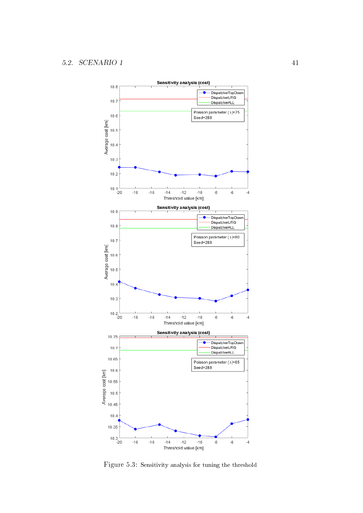

Figure 5.3: Sensitivity analysis for tuning the threshold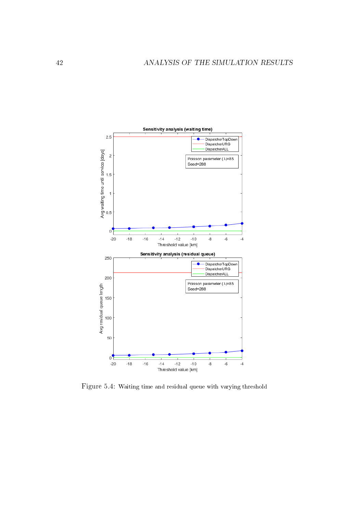

Figure 5.4: Waiting time and residual queue with varying threshold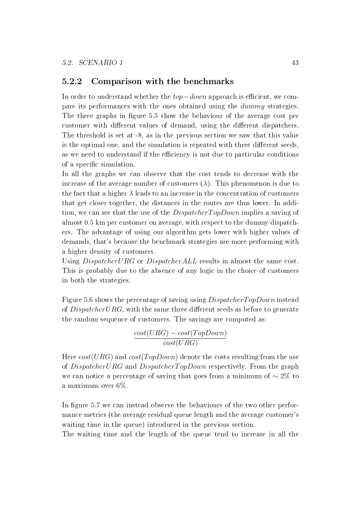### 5.2.2 Comparison with the benchmarks

In order to understand whether the  $top-down$  approach is efficient, we compare its performances with the ones obtained using the dummy strategies. The three graphs in figure 5.5 show the behaviour of the average cost per customer with different values of demand, using the different dispatchers. The threshold is set at -8, as in the previous section we saw that this value is the optimal one, and the simulation is repeated with three different seeds, as we need to understand if the efficiency is not due to particular conditions of a specific simulation.

In all the graphs we can observe that the cost tends to decrease with the increase of the average number of customers  $(\lambda)$ . This phenomenon is due to the fact that a higher  $\lambda$  leads to an increase in the concentration of customers that get closer together, the distances in the routes are thus lower. In addition, we can see that the use of the *DispatcherTopDown* implies a saving of almost 0.5 km per customer on average, with respect to the dummy dispatchers. The advantage of using our algorithm gets lower with higher values of demands, that's because the benchmark strategies are more performing with a higher density of customers.

Using *DispatcherURG* or *DispatcherALL* results in almost the same cost. This is probably due to the absence of any logic in the choice of customers in both the strategies.

Figure 5.6 shows the percentage of saving using *DispatcherTopDown* instead of  $DispatcherURG$ , with the same three different seeds as before to generate the random sequence of customers. The savings are computed as:

> $cost(URG) - cost(TopDown)$  $cost(URG)$

Here  $cost(URG)$  and  $cost(TopDown)$  denote the costs resulting from the use of DispatcherURG and DispatcherTopDown respectively. From the graph we can notice a percentage of saving that goes from a minimum of  $\sim 2\%$  to a maximum over 6%.

In figure 5.7 we can instead observe the behaviours of the two other performance metrics (the average residual queue length and the average customer's waiting time in the queue) introduced in the previous section.

The waiting time and the length of the queue tend to increase in all the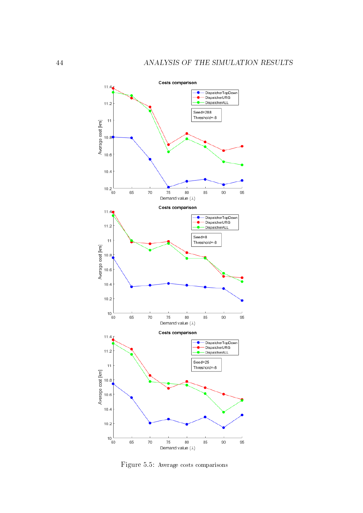

Figure 5.5: Average costs comparisons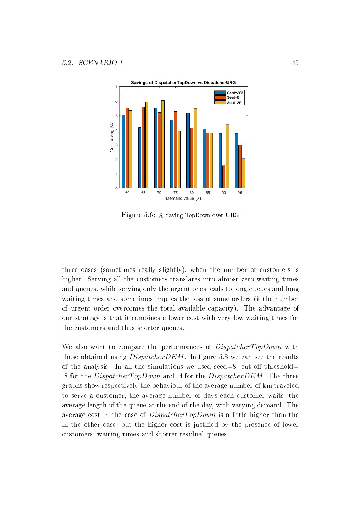

Figure 5.6: % Saving TopDown over URG

three cases (sometimes really slightly), when the number of customers is higher. Serving all the customers translates into almost zero waiting times and queues, while serving only the urgent ones leads to long queues and long waiting times and sometimes implies the loss of some orders (if the number of urgent order overcomes the total available capacity). The advantage of our strategy is that it combines a lower cost with very low waiting times for the customers and thus shorter queues.

We also want to compare the performances of *DispatcherTopDown* with those obtained using  $DispatcherDEM$ . In figure 5.8 we can see the results of the analysis. In all the simulations we used seed=8, cut-off threshold= -8 for the *DispatcherTopDown* and -4 for the *DispatcherDEM*. The three graphs show respectively the behaviour of the average number of km traveled to serve a customer, the average number of days each customer waits, the average length of the queue at the end of the day, with varying demand. The average cost in the case of  $DispatcherTopDown$  is a little higher than the in the other case, but the higher cost is justified by the presence of lower customers' waiting times and shorter residual queues.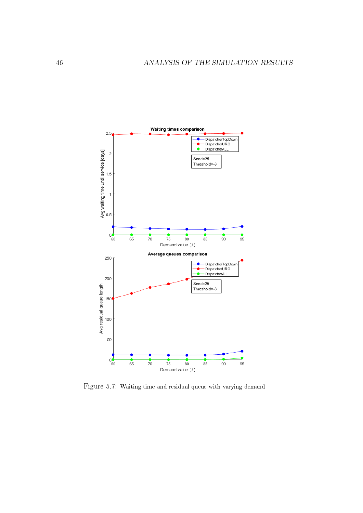

Figure 5.7: Waiting time and residual queue with varying demand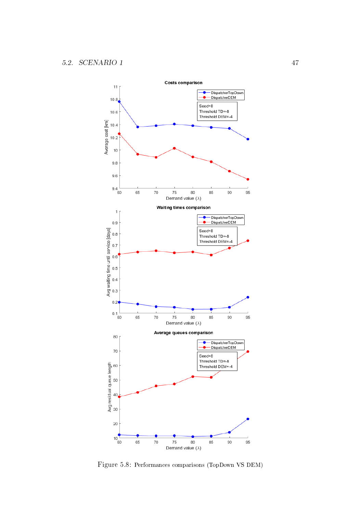

Figure 5.8: Performances comparisons (TopDown VS DEM)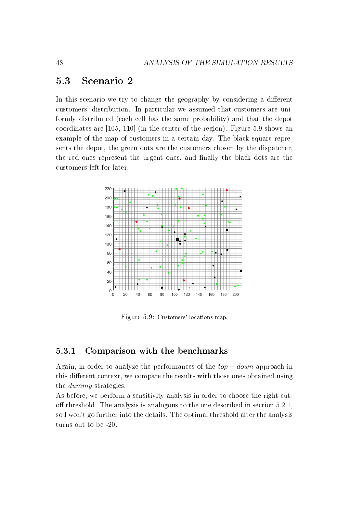## 5.3 Scenario 2

In this scenario we try to change the geography by considering a different customers' distribution. In particular we assumed that customers are uniformly distributed (each cell has the same probability) and that the depot coordinates are [105, 110] (in the center of the region). Figure 5.9 shows an example of the map of customers in a certain day. The black square represents the depot, the green dots are the customers chosen by the dispatcher, the red ones represent the urgent ones, and finally the black dots are the customers left for later.



Figure 5.9: Customers' locations map.

### 5.3.1 Comparison with the benchmarks

Again, in order to analyze the performances of the  $top-down$  approach in this different context, we compare the results with those ones obtained using the dummy strategies.

As before, we perform a sensitivity analysis in order to choose the right cutoff threshold. The analysis is analogous to the one described in section  $5.2.1$ , so I won't go further into the details. The optimal threshold after the analysis turns out to be -20.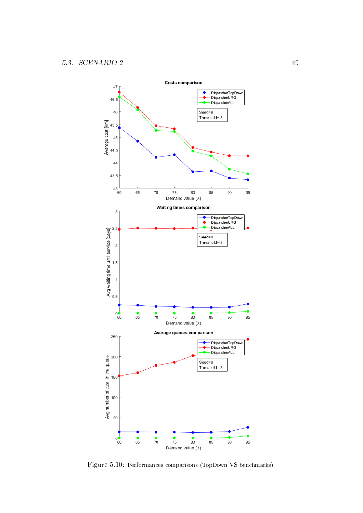

Figure 5.10: Performances comparisons (TopDown VS benchmarks)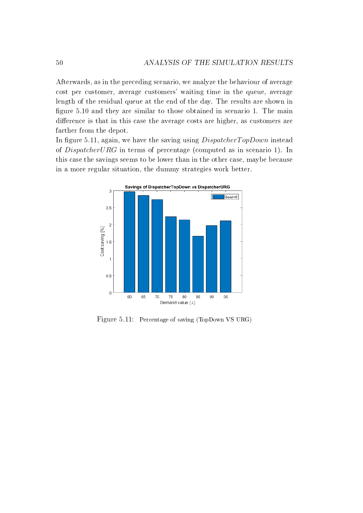Afterwards, as in the preceding scenario, we analyze the behaviour of average cost per customer, average customers' waiting time in the queue, average length of the residual queue at the end of the day. The results are shown in figure 5.10 and they are similar to those obtained in scenario 1. The main difference is that in this case the average costs are higher, as customers are farther from the depot.

In figure 5.11, again, we have the saving using  $Dispatcher TopDown$  instead of DispatcherURG in terms of percentage (computed as in scenario 1). In this case the savings seems to be lower than in the other case, maybe because in a more regular situation, the dummy strategies work better.



Figure 5.11: Percentage of saving (TopDown VS URG)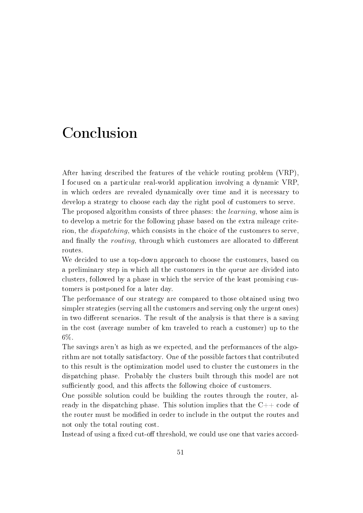# Conclusion

After having described the features of the vehicle routing problem (VRP), I focused on a particular real-world application involving a dynamic VRP, in which orders are revealed dynamically over time and it is necessary to develop a strategy to choose each day the right pool of customers to serve. The proposed algorithm consists of three phases: the *learning*, whose aim is to develop a metric for the following phase based on the extra mileage criterion, the dispatching, which consists in the choice of the customers to serve, and finally the *routing*, through which customers are allocated to different routes.

We decided to use a top-down approach to choose the customers, based on a preliminary step in which all the customers in the queue are divided into clusters, followed by a phase in which the service of the least promising customers is postponed for a later day.

The performance of our strategy are compared to those obtained using two simpler strategies (serving all the customers and serving only the urgent ones) in two different scenarios. The result of the analysis is that there is a saving in the cost (average number of km traveled to reach a customer) up to the 6%.

The savings aren't as high as we expected, and the performances of the algorithm are not totally satisfactory. One of the possible factors that contributed to this result is the optimization model used to cluster the customers in the dispatching phase. Probably the clusters built through this model are not sufficiently good, and this affects the following choice of customers.

One possible solution could be building the routes through the router, already in the dispatching phase. This solution implies that the  $C++$  code of the router must be modified in order to include in the output the routes and not only the total routing cost.

Instead of using a fixed cut-off threshold, we could use one that varies accord-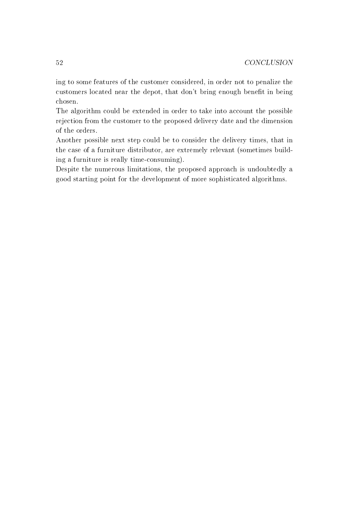ing to some features of the customer considered, in order not to penalize the customers located near the depot, that don't bring enough benefit in being chosen.

The algorithm could be extended in order to take into account the possible rejection from the customer to the proposed delivery date and the dimension of the orders.

Another possible next step could be to consider the delivery times, that in the case of a furniture distributor, are extremely relevant (sometimes building a furniture is really time-consuming).

Despite the numerous limitations, the proposed approach is undoubtedly a good starting point for the development of more sophisticated algorithms.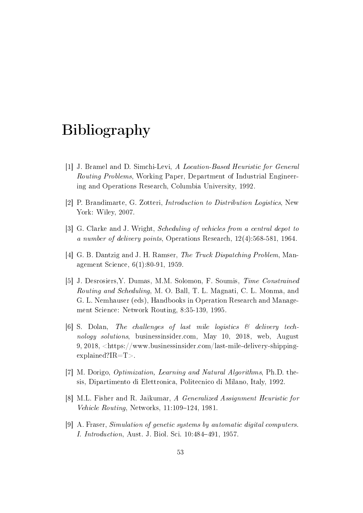# Bibliography

- [1] J. Bramel and D. Simchi-Levi, A Location-Based Heuristic for General Routing Problems, Working Paper, Department of Industrial Engineering and Operations Research, Columbia University, 1992.
- [2] P. Brandimarte, G. Zotteri, Introduction to Distribution Logistics, New York: Wiley, 2007.
- [3] G. Clarke and J. Wright, Scheduling of vehicles from a central depot to a number of delivery points, Operations Research, 12(4):568-581, 1964.
- [4] G. B. Dantzig and J. H. Ramser, The Truck Dispatching Problem, Management Science, 6(1):80-91, 1959.
- [5] J. Desrosiers,Y. Dumas, M.M. Solomon, F. Soumis, Time Constrained Routing and Scheduling, M. O. Ball, T. L. Magnati, C. L. Monma, and G. L. Nemhauser (eds), Handbooks in Operation Research and Management Science: Network Routing, 8:35-139, 1995.
- [6] S. Dolan, The challenges of last mile logistics  $\mathcal{B}$  delivery technology solutions, businessinsider.com, May 10, 2018, web, August 9, 2018, <https://www.businessinsider.com/last-mile-delivery-shippingexplained?IR=T>.
- [7] M. Dorigo, Optimization, Learning and Natural Algorithms, Ph.D. thesis, Dipartimento di Elettronica, Politecnico di Milano, Italy, 1992.
- [8] M.L. Fisher and R. Jaikumar, A Generalized Assignment Heuristic for Vehicle Routing, Networks,  $11:109-124$ , 1981.
- [9] A. Fraser, Simulation of genetic systems by automatic digital computers. *I. Introduction*, Aust. J. Biol. Sci. 10:484-491, 1957.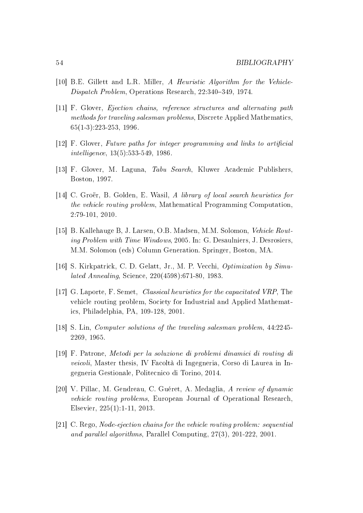- [10] B.E. Gillett and L.R. Miller, A Heuristic Algorithm for the Vehicle-Dispatch Problem, Operations Research, 22:340-349, 1974.
- [11] F. Glover, Ejection chains, reference structures and alternating path methods for traveling salesman problems, Discrete Applied Mathematics, 65(1-3):223-253, 1996.
- [12] F. Glover, Future paths for integer programming and links to articial intelligence, 13(5):533-549, 1986.
- [13] F. Glover, M. Laguna, Tabu Search, Kluwer Academic Publishers, Boston, 1997.
- [14] C. Groër, B. Golden, E. Wasil, A library of local search heuristics for the vehicle routing problem, Mathematical Programming Computation, 2:79-101, 2010.
- [15] B. Kallehauge B, J. Larsen, O.B. Madsen, M.M. Solomon, Vehicle Routing Problem with Time Windows, 2005. In: G. Desaulniers, J. Desrosiers, M.M. Solomon (eds) Column Generation. Springer, Boston, MA.
- [16] S. Kirkpatrick, C. D. Gelatt, Jr., M. P. Vecchi, *Optimization by Simu*lated Annealing, Science, 220(4598):671-80, 1983.
- [17] G. Laporte, F. Semet, Classical heuristics for the capacitated VRP, The vehicle routing problem, Society for Industrial and Applied Mathematics, Philadelphia, PA, 109-128, 2001.
- [18] S. Lin, Computer solutions of the traveling salesman problem, 44:2245- 2269, 1965.
- [19] F. Patrone, Metodi per la soluzione di problemi dinamici di routing di veicoli, Master thesis, IV Facoltà di Ingegneria, Corso di Laurea in Ingegneria Gestionale, Politecnico di Torino, 2014.
- [20] V. Pillac, M. Gendreau, C. Guéret, A. Medaglia, A review of dynamic vehicle routing problems, European Journal of Operational Research, Elsevier, 225(1):1-11, 2013.
- [21] C. Rego, Node-ejection chains for the vehicle routing problem: sequential and parallel algorithms, Parallel Computing, 27(3), 201-222, 2001.